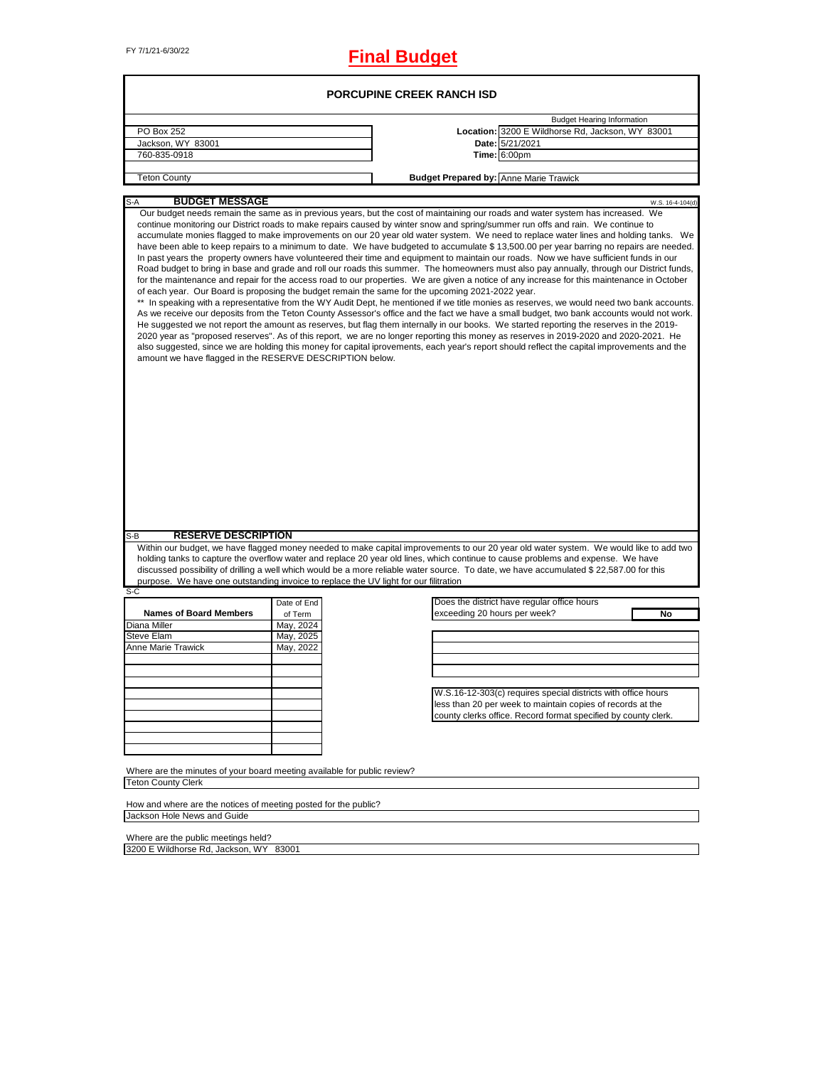# FY 7/1/21-6/30/22 **Final Budget**

|                                                                                                                                                                                 |             | <b>PORCUPINE CREEK RANCH ISD</b>              |                                                                                                                                                                                                                                                                                                                                                                                                                                                                                                                                                                                                                                                                                                                                                                                                                                                                                                                                                                                                                                                                                                                                                                                                                                                                                                                                                                                                                                                                                                                                                                                                                                                                                                                          |
|---------------------------------------------------------------------------------------------------------------------------------------------------------------------------------|-------------|-----------------------------------------------|--------------------------------------------------------------------------------------------------------------------------------------------------------------------------------------------------------------------------------------------------------------------------------------------------------------------------------------------------------------------------------------------------------------------------------------------------------------------------------------------------------------------------------------------------------------------------------------------------------------------------------------------------------------------------------------------------------------------------------------------------------------------------------------------------------------------------------------------------------------------------------------------------------------------------------------------------------------------------------------------------------------------------------------------------------------------------------------------------------------------------------------------------------------------------------------------------------------------------------------------------------------------------------------------------------------------------------------------------------------------------------------------------------------------------------------------------------------------------------------------------------------------------------------------------------------------------------------------------------------------------------------------------------------------------------------------------------------------------|
|                                                                                                                                                                                 |             |                                               | <b>Budget Hearing Information</b>                                                                                                                                                                                                                                                                                                                                                                                                                                                                                                                                                                                                                                                                                                                                                                                                                                                                                                                                                                                                                                                                                                                                                                                                                                                                                                                                                                                                                                                                                                                                                                                                                                                                                        |
| PO Box 252                                                                                                                                                                      |             |                                               | Location: 3200 E Wildhorse Rd, Jackson, WY 83001                                                                                                                                                                                                                                                                                                                                                                                                                                                                                                                                                                                                                                                                                                                                                                                                                                                                                                                                                                                                                                                                                                                                                                                                                                                                                                                                                                                                                                                                                                                                                                                                                                                                         |
| Jackson, WY 83001                                                                                                                                                               |             |                                               | Date: 5/21/2021                                                                                                                                                                                                                                                                                                                                                                                                                                                                                                                                                                                                                                                                                                                                                                                                                                                                                                                                                                                                                                                                                                                                                                                                                                                                                                                                                                                                                                                                                                                                                                                                                                                                                                          |
| 760-835-0918                                                                                                                                                                    |             |                                               | <b>Time: 6:00pm</b>                                                                                                                                                                                                                                                                                                                                                                                                                                                                                                                                                                                                                                                                                                                                                                                                                                                                                                                                                                                                                                                                                                                                                                                                                                                                                                                                                                                                                                                                                                                                                                                                                                                                                                      |
|                                                                                                                                                                                 |             |                                               |                                                                                                                                                                                                                                                                                                                                                                                                                                                                                                                                                                                                                                                                                                                                                                                                                                                                                                                                                                                                                                                                                                                                                                                                                                                                                                                                                                                                                                                                                                                                                                                                                                                                                                                          |
| <b>Teton County</b>                                                                                                                                                             |             | <b>Budget Prepared by: Anne Marie Trawick</b> |                                                                                                                                                                                                                                                                                                                                                                                                                                                                                                                                                                                                                                                                                                                                                                                                                                                                                                                                                                                                                                                                                                                                                                                                                                                                                                                                                                                                                                                                                                                                                                                                                                                                                                                          |
| <b>BUDGET MESSAGE</b><br>$S-A$                                                                                                                                                  |             |                                               | W.S. 16-4-104(d)                                                                                                                                                                                                                                                                                                                                                                                                                                                                                                                                                                                                                                                                                                                                                                                                                                                                                                                                                                                                                                                                                                                                                                                                                                                                                                                                                                                                                                                                                                                                                                                                                                                                                                         |
| of each year. Our Board is proposing the budget remain the same for the upcoming 2021-2022 year.<br>$^{\star\star}$<br>amount we have flagged in the RESERVE DESCRIPTION below. |             |                                               | Our budget needs remain the same as in previous years, but the cost of maintaining our roads and water system has increased. We<br>continue monitoring our District roads to make repairs caused by winter snow and spring/summer run offs and rain. We continue to<br>accumulate monies flagged to make improvements on our 20 year old water system. We need to replace water lines and holding tanks. We<br>have been able to keep repairs to a minimum to date. We have budgeted to accumulate \$13,500.00 per year barring no repairs are needed.<br>In past years the property owners have volunteered their time and equipment to maintain our roads. Now we have sufficient funds in our<br>Road budget to bring in base and grade and roll our roads this summer. The homeowners must also pay annually, through our District funds,<br>for the maintenance and repair for the access road to our properties. We are given a notice of any increase for this maintenance in October<br>In speaking with a representative from the WY Audit Dept, he mentioned if we title monies as reserves, we would need two bank accounts.<br>As we receive our deposits from the Teton County Assessor's office and the fact we have a small budget, two bank accounts would not work.<br>He suggested we not report the amount as reserves, but flag them internally in our books. We started reporting the reserves in the 2019-<br>2020 year as "proposed reserves". As of this report, we are no longer reporting this money as reserves in 2019-2020 and 2020-2021. He<br>also suggested, since we are holding this money for capital iprovements, each year's report should reflect the capital improvements and the |
| <b>RESERVE DESCRIPTION</b><br>S-B                                                                                                                                               |             |                                               |                                                                                                                                                                                                                                                                                                                                                                                                                                                                                                                                                                                                                                                                                                                                                                                                                                                                                                                                                                                                                                                                                                                                                                                                                                                                                                                                                                                                                                                                                                                                                                                                                                                                                                                          |
| purpose. We have one outstanding invoice to replace the UV light for our filitration<br>S-C                                                                                     |             |                                               | Within our budget, we have flagged money needed to make capital improvements to our 20 year old water system. We would like to add two<br>holding tanks to capture the overflow water and replace 20 year old lines, which continue to cause problems and expense. We have<br>discussed possibility of drilling a well which would be a more reliable water source. To date, we have accumulated \$ 22,587.00 for this                                                                                                                                                                                                                                                                                                                                                                                                                                                                                                                                                                                                                                                                                                                                                                                                                                                                                                                                                                                                                                                                                                                                                                                                                                                                                                   |
|                                                                                                                                                                                 | Date of End |                                               | Does the district have regular office hours                                                                                                                                                                                                                                                                                                                                                                                                                                                                                                                                                                                                                                                                                                                                                                                                                                                                                                                                                                                                                                                                                                                                                                                                                                                                                                                                                                                                                                                                                                                                                                                                                                                                              |
| <b>Names of Board Members</b>                                                                                                                                                   | of Term     | exceeding 20 hours per week?                  | No                                                                                                                                                                                                                                                                                                                                                                                                                                                                                                                                                                                                                                                                                                                                                                                                                                                                                                                                                                                                                                                                                                                                                                                                                                                                                                                                                                                                                                                                                                                                                                                                                                                                                                                       |
| Diana Miller                                                                                                                                                                    | May, 2024   |                                               |                                                                                                                                                                                                                                                                                                                                                                                                                                                                                                                                                                                                                                                                                                                                                                                                                                                                                                                                                                                                                                                                                                                                                                                                                                                                                                                                                                                                                                                                                                                                                                                                                                                                                                                          |
| Steve Elam                                                                                                                                                                      | May, 2025   |                                               |                                                                                                                                                                                                                                                                                                                                                                                                                                                                                                                                                                                                                                                                                                                                                                                                                                                                                                                                                                                                                                                                                                                                                                                                                                                                                                                                                                                                                                                                                                                                                                                                                                                                                                                          |
| <b>Anne Marie Trawick</b>                                                                                                                                                       | May, 2022   |                                               |                                                                                                                                                                                                                                                                                                                                                                                                                                                                                                                                                                                                                                                                                                                                                                                                                                                                                                                                                                                                                                                                                                                                                                                                                                                                                                                                                                                                                                                                                                                                                                                                                                                                                                                          |
|                                                                                                                                                                                 |             |                                               |                                                                                                                                                                                                                                                                                                                                                                                                                                                                                                                                                                                                                                                                                                                                                                                                                                                                                                                                                                                                                                                                                                                                                                                                                                                                                                                                                                                                                                                                                                                                                                                                                                                                                                                          |
|                                                                                                                                                                                 |             |                                               |                                                                                                                                                                                                                                                                                                                                                                                                                                                                                                                                                                                                                                                                                                                                                                                                                                                                                                                                                                                                                                                                                                                                                                                                                                                                                                                                                                                                                                                                                                                                                                                                                                                                                                                          |
|                                                                                                                                                                                 |             |                                               |                                                                                                                                                                                                                                                                                                                                                                                                                                                                                                                                                                                                                                                                                                                                                                                                                                                                                                                                                                                                                                                                                                                                                                                                                                                                                                                                                                                                                                                                                                                                                                                                                                                                                                                          |
|                                                                                                                                                                                 |             |                                               | W.S.16-12-303(c) requires special districts with office hours                                                                                                                                                                                                                                                                                                                                                                                                                                                                                                                                                                                                                                                                                                                                                                                                                                                                                                                                                                                                                                                                                                                                                                                                                                                                                                                                                                                                                                                                                                                                                                                                                                                            |
|                                                                                                                                                                                 |             |                                               | less than 20 per week to maintain copies of records at the<br>county clerks office. Record format specified by county clerk.                                                                                                                                                                                                                                                                                                                                                                                                                                                                                                                                                                                                                                                                                                                                                                                                                                                                                                                                                                                                                                                                                                                                                                                                                                                                                                                                                                                                                                                                                                                                                                                             |
|                                                                                                                                                                                 |             |                                               |                                                                                                                                                                                                                                                                                                                                                                                                                                                                                                                                                                                                                                                                                                                                                                                                                                                                                                                                                                                                                                                                                                                                                                                                                                                                                                                                                                                                                                                                                                                                                                                                                                                                                                                          |
|                                                                                                                                                                                 |             |                                               |                                                                                                                                                                                                                                                                                                                                                                                                                                                                                                                                                                                                                                                                                                                                                                                                                                                                                                                                                                                                                                                                                                                                                                                                                                                                                                                                                                                                                                                                                                                                                                                                                                                                                                                          |
|                                                                                                                                                                                 |             |                                               |                                                                                                                                                                                                                                                                                                                                                                                                                                                                                                                                                                                                                                                                                                                                                                                                                                                                                                                                                                                                                                                                                                                                                                                                                                                                                                                                                                                                                                                                                                                                                                                                                                                                                                                          |
|                                                                                                                                                                                 |             |                                               |                                                                                                                                                                                                                                                                                                                                                                                                                                                                                                                                                                                                                                                                                                                                                                                                                                                                                                                                                                                                                                                                                                                                                                                                                                                                                                                                                                                                                                                                                                                                                                                                                                                                                                                          |
| Where are the minutes of your board meeting available for public review?                                                                                                        |             |                                               |                                                                                                                                                                                                                                                                                                                                                                                                                                                                                                                                                                                                                                                                                                                                                                                                                                                                                                                                                                                                                                                                                                                                                                                                                                                                                                                                                                                                                                                                                                                                                                                                                                                                                                                          |
| <b>Teton County Clerk</b>                                                                                                                                                       |             |                                               |                                                                                                                                                                                                                                                                                                                                                                                                                                                                                                                                                                                                                                                                                                                                                                                                                                                                                                                                                                                                                                                                                                                                                                                                                                                                                                                                                                                                                                                                                                                                                                                                                                                                                                                          |
|                                                                                                                                                                                 |             |                                               |                                                                                                                                                                                                                                                                                                                                                                                                                                                                                                                                                                                                                                                                                                                                                                                                                                                                                                                                                                                                                                                                                                                                                                                                                                                                                                                                                                                                                                                                                                                                                                                                                                                                                                                          |
| How and where are the notices of meeting posted for the public?<br>Jackson Hole News and Guide                                                                                  |             |                                               |                                                                                                                                                                                                                                                                                                                                                                                                                                                                                                                                                                                                                                                                                                                                                                                                                                                                                                                                                                                                                                                                                                                                                                                                                                                                                                                                                                                                                                                                                                                                                                                                                                                                                                                          |

Where are the public meetings held? 3200 E Wildhorse Rd, Jackson, WY 83001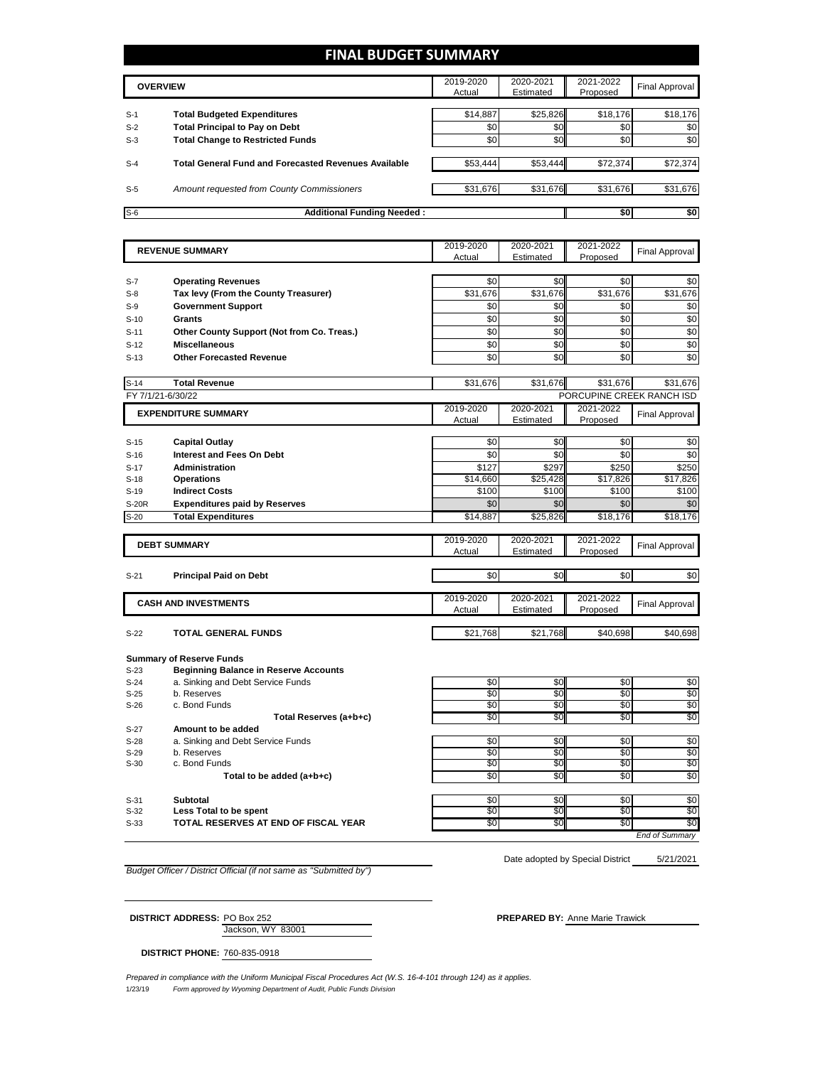### **FINAL BUDGET SUMMARY**

|       | <b>OVERVIEW</b>                                             | 2019-2020<br>Actual | 2020-2021<br>Estimated | 2021-2022<br>Proposed | Final Approval |
|-------|-------------------------------------------------------------|---------------------|------------------------|-----------------------|----------------|
| $S-1$ | <b>Total Budgeted Expenditures</b>                          | \$14,887            | \$25,826               | \$18,176              | \$18,176       |
| $S-2$ | <b>Total Principal to Pay on Debt</b>                       | \$0                 | \$0                    | \$0                   | \$0            |
| $S-3$ | <b>Total Change to Restricted Funds</b>                     | \$0                 | \$0                    | \$0                   | \$0            |
| $S-4$ | <b>Total General Fund and Forecasted Revenues Available</b> | \$53.444            | \$53,444               | \$72.374              | \$72,374       |
| $S-5$ | Amount requested from County Commissioners                  | \$31,676            | \$31,676               | \$31,676              | \$31,676       |
| $S-6$ | <b>Additional Funding Needed:</b>                           |                     |                        | \$0                   | \$0            |

| <b>REVENUE SUMMARY</b> |                                              | 2019-2020  | 2020-2021  | 2021-2022                 | <b>Final Approval</b>  |
|------------------------|----------------------------------------------|------------|------------|---------------------------|------------------------|
|                        |                                              | Actual     | Estimated  | Proposed                  |                        |
|                        |                                              |            |            |                           |                        |
| $S-7$                  | <b>Operating Revenues</b>                    | \$0        | \$0        | \$0                       | \$0                    |
| $S-8$                  | Tax levy (From the County Treasurer)         | \$31,676   | \$31,676   | \$31,676                  | \$31,676               |
| $S-9$                  | <b>Government Support</b>                    | \$0        | \$0        | \$0                       | \$0                    |
| $S-10$                 | <b>Grants</b>                                | \$0        | \$0        | \$0                       | \$0                    |
| $S-11$                 | Other County Support (Not from Co. Treas.)   | \$0        | \$0        | \$0                       | \$0                    |
| $S-12$                 | <b>Miscellaneous</b>                         | \$0        | \$0        | \$0                       | \$0                    |
| $S-13$                 | <b>Other Forecasted Revenue</b>              | \$0        | \$0        | \$0                       | \$0                    |
|                        |                                              |            |            |                           |                        |
| $S-14$                 | <b>Total Revenue</b>                         | \$31,676   | \$31,676   | \$31,676                  | \$31,676               |
| FY 7/1/21-6/30/22      |                                              |            |            | PORCUPINE CREEK RANCH ISD |                        |
|                        | <b>EXPENDITURE SUMMARY</b>                   | 2019-2020  | 2020-2021  | 2021-2022                 | <b>Final Approval</b>  |
|                        |                                              | Actual     | Estimated  | Proposed                  |                        |
|                        |                                              |            |            |                           |                        |
| $S-15$                 | <b>Capital Outlay</b>                        | \$0        | \$0        | \$0                       | \$0                    |
| $S-16$                 | <b>Interest and Fees On Debt</b>             | \$0        | \$0        | \$0                       | \$0                    |
| $S-17$                 | <b>Administration</b>                        | \$127      | \$297      | \$250                     | \$250                  |
| $S-18$                 | <b>Operations</b>                            | \$14,660   | \$25,428   | \$17,826                  | \$17,826               |
| $S-19$                 | <b>Indirect Costs</b>                        | \$100      | \$100      | \$100                     | \$100                  |
| S-20R                  | <b>Expenditures paid by Reserves</b>         | \$0        | \$0        | \$0                       | \$0                    |
| $S-20$                 | <b>Total Expenditures</b>                    | \$14,887   | \$25,826   | \$18,176                  | \$18,176               |
|                        |                                              |            |            |                           |                        |
|                        | <b>DEBT SUMMARY</b>                          | 2019-2020  | 2020-2021  | 2021-2022                 | <b>Final Approval</b>  |
|                        |                                              | Actual     | Estimated  | Proposed                  |                        |
| $S-21$                 | <b>Principal Paid on Debt</b>                | \$0        | \$0        | \$0                       | \$0                    |
|                        |                                              |            |            |                           |                        |
|                        |                                              | 2019-2020  | 2020-2021  | 2021-2022                 |                        |
|                        | <b>CASH AND INVESTMENTS</b>                  | Actual     | Estimated  | Proposed                  | <b>Final Approval</b>  |
|                        |                                              |            |            |                           |                        |
| $S-22$                 | <b>TOTAL GENERAL FUNDS</b>                   | \$21,768   | \$21,768   | \$40.698                  | \$40,698               |
|                        |                                              |            |            |                           |                        |
|                        | <b>Summary of Reserve Funds</b>              |            |            |                           |                        |
| $S-23$                 | <b>Beginning Balance in Reserve Accounts</b> |            |            |                           |                        |
| $S-24$                 | a. Sinking and Debt Service Funds            | \$0        | \$0        | \$0                       | \$0                    |
| $S-25$                 | b. Reserves                                  | \$0        | \$0        | \$0                       | \$0                    |
| $S-26$                 | c. Bond Funds                                | \$0        | \$0        | \$0                       | \$0                    |
|                        | Total Reserves (a+b+c)                       | \$0        | \$0        | \$0                       | \$0                    |
| $S-27$                 | Amount to be added                           |            |            |                           |                        |
| $S-28$                 | a. Sinking and Debt Service Funds            | \$0<br>\$0 | \$0<br>\$0 | \$0<br>\$0                | \$0<br>$\overline{50}$ |
| $S-29$<br>$S-30$       | b. Reserves<br>c. Bond Funds                 | \$0        | \$0        | \$0                       | \$0                    |
|                        |                                              | \$0        | \$0        | \$0                       | \$0                    |
|                        | Total to be added (a+b+c)                    |            |            |                           |                        |

S-31 **Subtotal** \$0 \$0 \$0 S-32 Less Total to be spent to the second second to the second to the second second second second second second S-33 **TOTAL RESERVES AT END OF FISCAL YEAR** \$0 \$0 \$0 \$0

*End of Summary*

*Budget Officer / District Official (if not same as "Submitted by")*

5/21/2021 Date adopted by Special District

Jackson, WY 83001 **DISTRICT ADDRESS:** PO Box 252 **PREPARED BY:** Anne Marie Trawick

**DISTRICT PHONE:** 760-835-0918

1/23/19 *Form approved by Wyoming Department of Audit, Public Funds Division Prepared in compliance with the Uniform Municipal Fiscal Procedures Act (W.S. 16-4-101 through 124) as it applies.*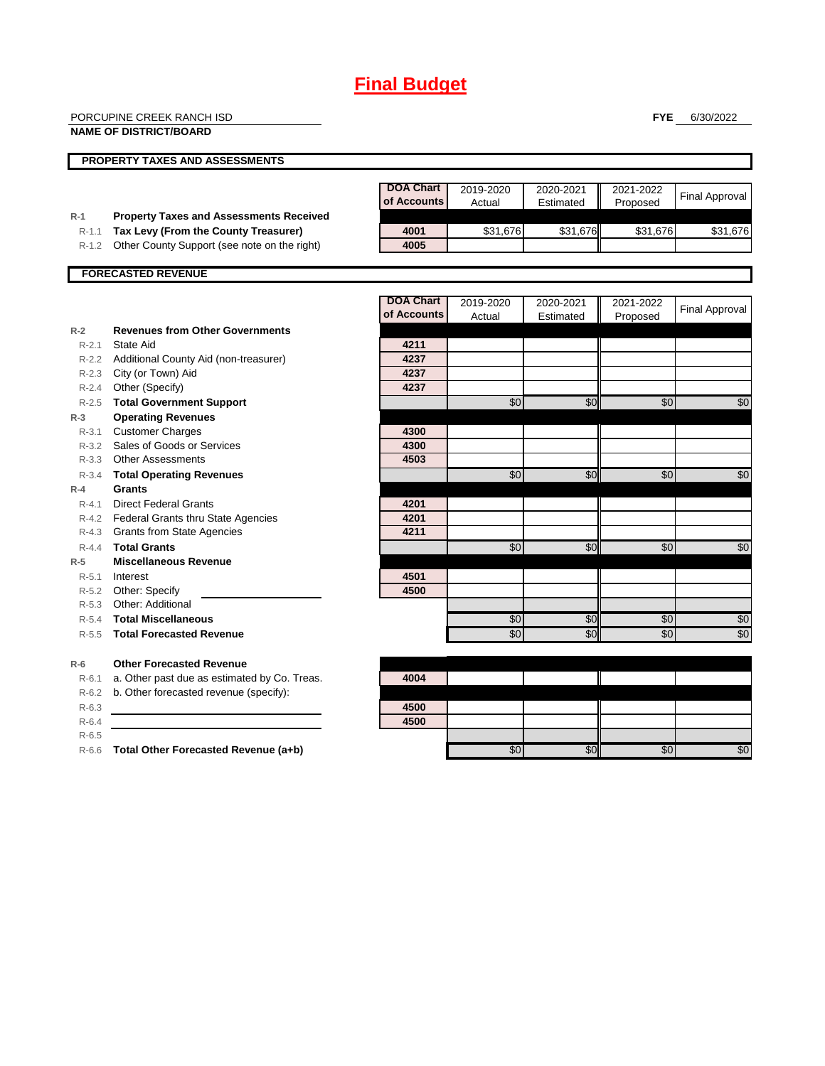|                                     | PORCUPINE CREEK RANCH ISD<br><b>NAME OF DISTRICT/BOARD</b>                                                                             |                                 |                     |                        | <b>FYE</b>            | 6/30/2022             |
|-------------------------------------|----------------------------------------------------------------------------------------------------------------------------------------|---------------------------------|---------------------|------------------------|-----------------------|-----------------------|
|                                     | <b>PROPERTY TAXES AND ASSESSMENTS</b>                                                                                                  |                                 |                     |                        |                       |                       |
|                                     |                                                                                                                                        | <b>DOA Chart</b><br>of Accounts | 2019-2020<br>Actual | 2020-2021<br>Estimated | 2021-2022<br>Proposed | <b>Final Approval</b> |
| $R-1$<br>$R-1.1$<br>R-1.2           | <b>Property Taxes and Assessments Received</b><br>Tax Levy (From the County Treasurer)<br>Other County Support (see note on the right) | 4001<br>4005                    | \$31.676            | \$31,676               | \$31,676              | \$31,676              |
|                                     | <b>FORECASTED REVENUE</b>                                                                                                              |                                 |                     |                        |                       |                       |
|                                     |                                                                                                                                        | <b>DOA Chart</b><br>of Accounts | 2019-2020<br>Actual | 2020-2021<br>Estimated | 2021-2022<br>Proposed | <b>Final Approval</b> |
| $R-2$<br>$R - 2.1$                  | <b>Revenues from Other Governments</b><br>State Aid                                                                                    | 4211                            |                     |                        |                       |                       |
| $R-2.2$<br>R-2.4                    | Additional County Aid (non-treasurer)<br>R-2.3 City (or Town) Aid<br>Other (Specify)                                                   | 4237<br>4237<br>4237            |                     |                        |                       |                       |
| $R-2.5$<br>$R-3$                    | <b>Total Government Support</b><br><b>Operating Revenues</b>                                                                           |                                 | \$0                 | \$0                    | \$0                   | \$0                   |
| $R - 3.1$<br>$R - 3.2$<br>$R - 3.3$ | <b>Customer Charges</b><br>Sales of Goods or Services<br><b>Other Assessments</b>                                                      | 4300<br>4300<br>4503            |                     |                        |                       |                       |
| $R - 3.4$<br>$R-4$                  | <b>Total Operating Revenues</b><br><b>Grants</b>                                                                                       |                                 | \$0                 | \$0                    | \$0                   | \$0                   |
| $R - 4.1$<br>$R-4.3$                | <b>Direct Federal Grants</b><br>R-4.2 Federal Grants thru State Agencies<br><b>Grants from State Agencies</b>                          | 4201<br>4201<br>4211            |                     |                        |                       |                       |
| $R - 4.4$<br>$R-5$                  | <b>Total Grants</b><br><b>Miscellaneous Revenue</b>                                                                                    |                                 | \$0                 | \$0                    | \$0                   | \$0                   |
| $R - 5.1$<br>$R-5.2$<br>$R - 5.3$   | Interest<br>Other: Specify<br>Other: Additional                                                                                        | 4501<br>4500                    |                     |                        |                       |                       |
| $R-5.4$<br>$R - 5.5$                | <b>Total Miscellaneous</b><br><b>Total Forecasted Revenue</b>                                                                          |                                 | \$0<br>\$0          | \$0<br>$\overline{30}$ | \$0<br>\$0            | \$0<br>\$0            |
| $R-6$<br>$R-6.1$                    | <b>Other Forecasted Revenue</b><br>a. Other past due as estimated by Co. Treas.                                                        | 4004                            |                     |                        |                       |                       |
| $R-6.2$<br>$R - 6.3$                | b. Other forecasted revenue (specify):                                                                                                 | 4500                            |                     |                        |                       |                       |
| $R-6.4$                             |                                                                                                                                        | 4500                            |                     |                        |                       |                       |

R-6.5

R-6.6 **Total Other Forecasted Revenue (a+b)** \$0 \$0 \$0 \$0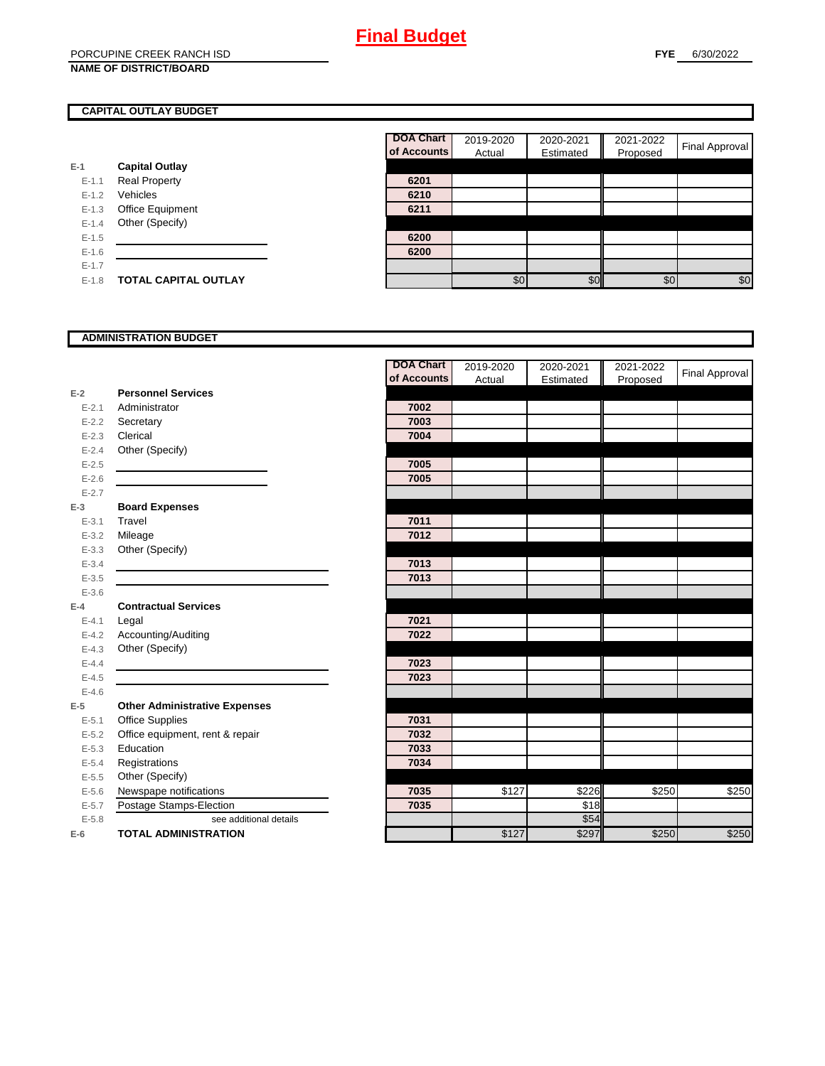### **CAPITAL OUTLAY BUDGET**

|           |                         | <u>ul nuuu</u> |
|-----------|-------------------------|----------------|
| $E-1$     | <b>Capital Outlay</b>   |                |
| $E - 1.1$ | <b>Real Property</b>    | 6201           |
| $E - 1.2$ | Vehicles                | 6210           |
| $E-1.3$   | <b>Office Equipment</b> | 6211           |
| $E - 1.4$ | Other (Specify)         |                |
| $E-1.5$   |                         | 6200           |
| $E-1.6$   |                         | 6200           |
| $E - 1.7$ |                         |                |
| $E-1.8$   | TOTAL CAPITAL OUTLAY    |                |

| <b>DOA Chart</b><br>of Accounts | 2019-2020<br>Actual | 2020-2021<br>Estimated | 2021-2022<br>Proposed | <b>Final Approval</b> |
|---------------------------------|---------------------|------------------------|-----------------------|-----------------------|
|                                 |                     |                        |                       |                       |
| 6201                            |                     |                        |                       |                       |
| 6210                            |                     |                        |                       |                       |
| 6211                            |                     |                        |                       |                       |
|                                 |                     |                        |                       |                       |
| 6200                            |                     |                        |                       |                       |
| 6200                            |                     |                        |                       |                       |
|                                 |                     |                        |                       |                       |
|                                 | \$0                 | $\Re$                  | \$0                   | \$0                   |

### **ADMINISTRATION BUDGET**

|           |                                      | <b>DOA Chart</b> | 2019-2020 | 2020-2021 | 2021-2022 | Final Approval |
|-----------|--------------------------------------|------------------|-----------|-----------|-----------|----------------|
|           |                                      | of Accounts      | Actual    | Estimated | Proposed  |                |
| $E-2$     | <b>Personnel Services</b>            |                  |           |           |           |                |
| $E - 2.1$ | Administrator                        | 7002             |           |           |           |                |
| $E - 2.2$ | Secretary                            | 7003             |           |           |           |                |
| $E - 2.3$ | Clerical                             | 7004             |           |           |           |                |
| $E - 2.4$ | Other (Specify)                      |                  |           |           |           |                |
| $E - 2.5$ |                                      | 7005             |           |           |           |                |
| $E-2.6$   |                                      | 7005             |           |           |           |                |
| $E - 2.7$ |                                      |                  |           |           |           |                |
| $E-3$     | <b>Board Expenses</b>                |                  |           |           |           |                |
| $E - 3.1$ | Travel                               | 7011             |           |           |           |                |
| $E - 3.2$ | Mileage                              | 7012             |           |           |           |                |
| $E - 3.3$ | Other (Specify)                      |                  |           |           |           |                |
| $E - 3.4$ |                                      | 7013             |           |           |           |                |
| $E - 3.5$ |                                      | 7013             |           |           |           |                |
| $E - 3.6$ |                                      |                  |           |           |           |                |
| $E-4$     | <b>Contractual Services</b>          |                  |           |           |           |                |
| $E - 4.1$ | Legal                                | 7021             |           |           |           |                |
| $E - 4.2$ | Accounting/Auditing                  | 7022             |           |           |           |                |
| $E - 4.3$ | Other (Specify)                      |                  |           |           |           |                |
| $E-4.4$   |                                      | 7023             |           |           |           |                |
| $E-4.5$   |                                      | 7023             |           |           |           |                |
| $E-4.6$   |                                      |                  |           |           |           |                |
| $E-5$     | <b>Other Administrative Expenses</b> |                  |           |           |           |                |
| $E - 5.1$ | Office Supplies                      | 7031             |           |           |           |                |
| $E - 5.2$ | Office equipment, rent & repair      | 7032             |           |           |           |                |
| $E - 5.3$ | Education                            | 7033             |           |           |           |                |
| $E - 5.4$ | Registrations                        | 7034             |           |           |           |                |
| $E - 5.5$ | Other (Specify)                      |                  |           |           |           |                |
| $E-5.6$   | Newspape notifications               | 7035             | \$127     | \$226     | \$250     | \$250          |
| $E - 5.7$ | Postage Stamps-Election              | 7035             |           | \$18      |           |                |
| $E - 5.8$ | see additional details               |                  |           | \$54      |           |                |
| $E-6$     | <b>TOTAL ADMINISTRATION</b>          |                  | \$127     | \$297     | \$250     | \$250          |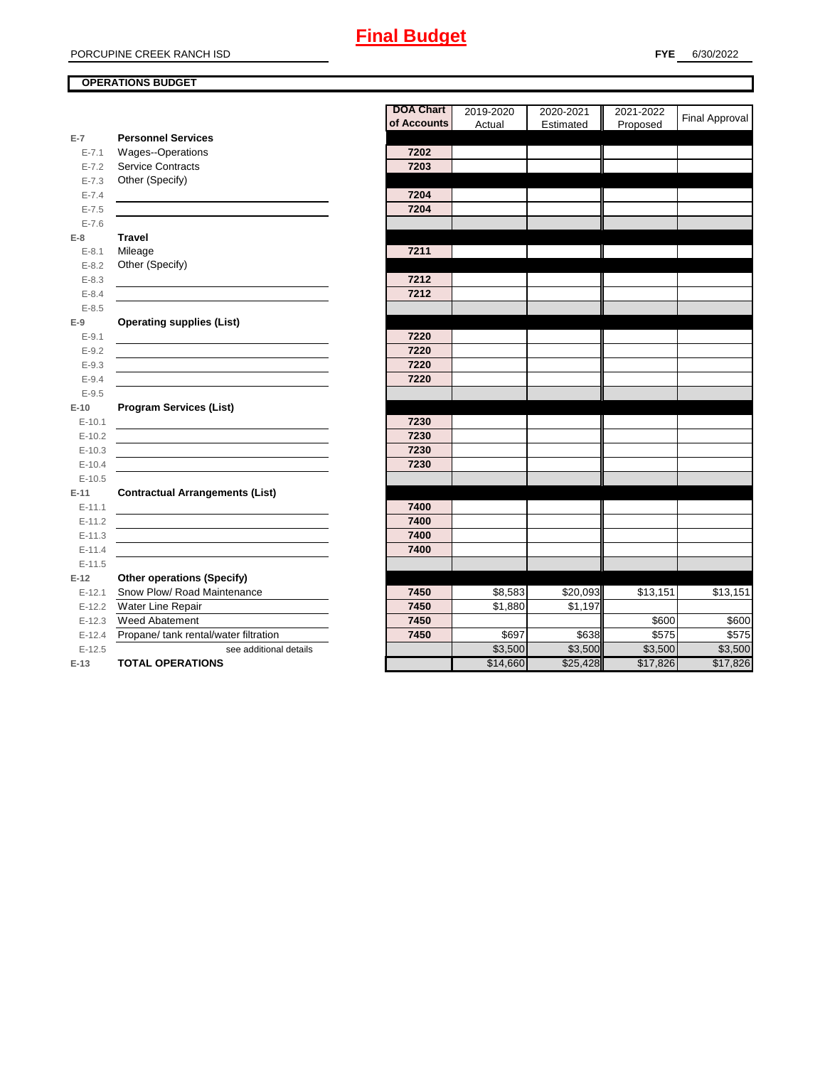### **OPERATIONS BUDGET**

|                        |                                        | <b>DOA Chart</b> | 2019-2020 | 2020-2021 | 2021-2022 | <b>Final Approval</b> |
|------------------------|----------------------------------------|------------------|-----------|-----------|-----------|-----------------------|
| $E-7$                  | <b>Personnel Services</b>              | of Accounts      | Actual    | Estimated | Proposed  |                       |
| $E - 7.1$              | <b>Wages--Operations</b>               | 7202             |           |           |           |                       |
| $E - 7.2$              | <b>Service Contracts</b>               | 7203             |           |           |           |                       |
| $E - 7.3$              | Other (Specify)                        |                  |           |           |           |                       |
| $E - 7.4$              |                                        | 7204             |           |           |           |                       |
| $E - 7.5$              |                                        | 7204             |           |           |           |                       |
| $E - 7.6$              |                                        |                  |           |           |           |                       |
|                        | <b>Travel</b>                          |                  |           |           |           |                       |
| $E-8$<br>$E - 8.1$     | Mileage                                | 7211             |           |           |           |                       |
|                        | Other (Specify)                        |                  |           |           |           |                       |
| $E - 8.2$<br>$E - 8.3$ |                                        | 7212             |           |           |           |                       |
|                        |                                        | 7212             |           |           |           |                       |
| $E - 8.4$              |                                        |                  |           |           |           |                       |
| $E - 8.5$              |                                        |                  |           |           |           |                       |
| $E-9$                  | <b>Operating supplies (List)</b>       |                  |           |           |           |                       |
| $E - 9.1$              |                                        | 7220<br>7220     |           |           |           |                       |
| $E - 9.2$              |                                        |                  |           |           |           |                       |
| $E-9.3$                |                                        | 7220             |           |           |           |                       |
| $E - 9.4$              |                                        | 7220             |           |           |           |                       |
| $E - 9.5$              |                                        |                  |           |           |           |                       |
| $E-10$                 | <b>Program Services (List)</b>         |                  |           |           |           |                       |
| $E-10.1$               |                                        | 7230             |           |           |           |                       |
| $E-10.2$               |                                        | 7230             |           |           |           |                       |
| $E-10.3$               |                                        | 7230             |           |           |           |                       |
| $E-10.4$               |                                        | 7230             |           |           |           |                       |
| $E-10.5$               |                                        |                  |           |           |           |                       |
| $E-11$                 | <b>Contractual Arrangements (List)</b> |                  |           |           |           |                       |
| $E-11.1$               |                                        | 7400             |           |           |           |                       |
| $E-11.2$               |                                        | 7400             |           |           |           |                       |
| $E-11.3$               |                                        | 7400             |           |           |           |                       |
| $E-11.4$               |                                        | 7400             |           |           |           |                       |
| $E-11.5$               |                                        |                  |           |           |           |                       |
| $E-12$                 | <b>Other operations (Specify)</b>      |                  |           |           |           |                       |
| $E-12.1$               | Snow Plow/ Road Maintenance            | 7450             | \$8,583   | \$20,093  | \$13,151  | \$13,151              |
| $E-12.2$               | Water Line Repair                      | 7450             | \$1,880   | \$1,197   |           |                       |
| $E-12.3$               | Weed Abatement                         | 7450             |           |           | \$600     | \$600                 |
| $E-12.4$               | Propane/ tank rental/water filtration  | 7450             | \$697     | \$638     | \$575     | \$575                 |
| $E-12.5$               | see additional details                 |                  | \$3,500   | \$3,500   | \$3,500   | $\overline{$3,500}$   |
| $E-13$                 | <b>TOTAL OPERATIONS</b>                |                  | \$14,660  | \$25,428  | \$17,826  | \$17,826              |

| <b>DOA Chart</b><br>of Accounts | 2019-2020 | 2020-2021 | 2021-2022 | Final Approval |
|---------------------------------|-----------|-----------|-----------|----------------|
|                                 | Actual    | Estimated | Proposed  |                |
| 7202                            |           |           |           |                |
| 7203                            |           |           |           |                |
|                                 |           |           |           |                |
| 7204                            |           |           |           |                |
| 7204                            |           |           |           |                |
|                                 |           |           |           |                |
|                                 |           |           |           |                |
| 7211                            |           |           |           |                |
|                                 |           |           |           |                |
| 7212                            |           |           |           |                |
| 7212                            |           |           |           |                |
|                                 |           |           |           |                |
|                                 |           |           |           |                |
| 7220                            |           |           |           |                |
| 7220                            |           |           |           |                |
| 7220                            |           |           |           |                |
| 7220                            |           |           |           |                |
|                                 |           |           |           |                |
|                                 |           |           |           |                |
| 7230                            |           |           |           |                |
| 7230                            |           |           |           |                |
| 7230                            |           |           |           |                |
| 7230                            |           |           |           |                |
|                                 |           |           |           |                |
|                                 |           |           |           |                |
| 7400                            |           |           |           |                |
| 7400                            |           |           |           |                |
| 7400                            |           |           |           |                |
| 7400                            |           |           |           |                |
|                                 |           |           |           |                |
|                                 |           |           |           |                |
| 7450                            | \$8,583   | \$20,093  | \$13,151  | \$13,151       |
| 7450                            | \$1,880   | \$1,197   |           |                |
| 7450                            |           |           | \$600     | \$600          |
| 7450                            | \$697     | \$638     | \$575     | \$575          |
|                                 | \$3,500   | \$3,500   | \$3,500   | \$3,500        |
|                                 | \$14,660  | \$25,428  | \$17,826  | \$17,826       |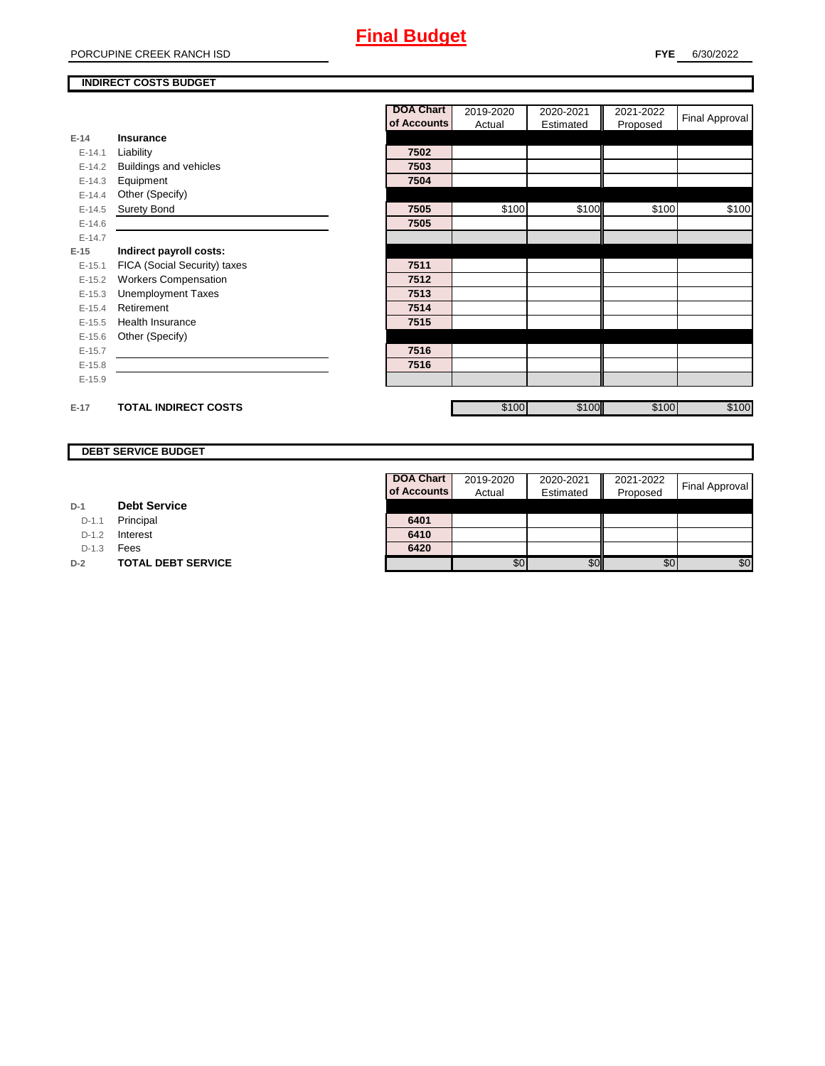#### PORCUPINE CREEK RANCH ISD

#### **INDIRECT COSTS BUDGET**

|          |                              | <b>DOA Chart</b> | 2019-2020 | 2020-2021 | 2021-2022 | Final Approval |
|----------|------------------------------|------------------|-----------|-----------|-----------|----------------|
|          |                              | of Accounts      | Actual    | Estimated | Proposed  |                |
| $E-14$   | Insurance                    |                  |           |           |           |                |
| $E-14.1$ | Liability                    | 7502             |           |           |           |                |
| $E-14.2$ | Buildings and vehicles       | 7503             |           |           |           |                |
| $E-14.3$ | Equipment                    | 7504             |           |           |           |                |
| $E-14.4$ | Other (Specify)              |                  |           |           |           |                |
| $E-14.5$ | <b>Surety Bond</b>           | 7505             | \$100     | \$100     | \$100     | \$100          |
| $E-14.6$ |                              | 7505             |           |           |           |                |
| $E-14.7$ |                              |                  |           |           |           |                |
| $E-15$   | Indirect payroll costs:      |                  |           |           |           |                |
| $E-15.1$ | FICA (Social Security) taxes | 7511             |           |           |           |                |
| $E-15.2$ | <b>Workers Compensation</b>  | 7512             |           |           |           |                |
| $E-15.3$ | <b>Unemployment Taxes</b>    | 7513             |           |           |           |                |
| $E-15.4$ | Retirement                   | 7514             |           |           |           |                |
| $E-15.5$ | <b>Health Insurance</b>      | 7515             |           |           |           |                |
| $E-15.6$ | Other (Specify)              |                  |           |           |           |                |
| $E-15.7$ |                              | 7516             |           |           |           |                |
| $E-15.8$ |                              | 7516             |           |           |           |                |
| $E-15.9$ |                              |                  |           |           |           |                |
| $E-17$   | <b>TOTAL INDIRECT COSTS</b>  |                  | \$100     | \$100     | \$100     | \$100          |

#### **DEBT SERVICE BUDGET**

| D-1 | <b>Debt Service</b> |  |
|-----|---------------------|--|
|     |                     |  |

D-1.1 **Principal** 

D-1.2 **Interest** 

D-1.3 **Fees** 

**D-2 TOTAL DEBT SERVICE** 

| DOA Chart   | 2019-2020 | 2020-2021 | 2021-2022 |                |
|-------------|-----------|-----------|-----------|----------------|
| of Accounts | Actual    | Estimated | Proposed  | Final Approval |
|             |           |           |           |                |
| 6401        |           |           |           |                |
| 6410        |           |           |           |                |
| 6420        |           |           |           |                |
|             |           |           | \$0       |                |